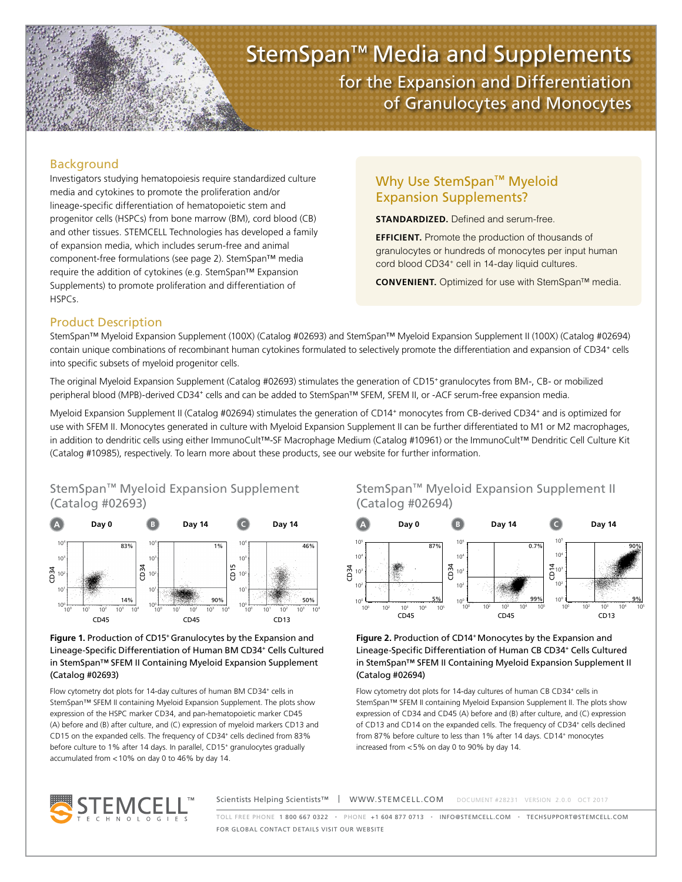

# StemSpan™ Media and Supplements for the Expansion and Differentiation of Granulocytes and Monocytes

### Background

Investigators studying hematopoiesis require standardized culture media and cytokines to promote the proliferation and/or lineage-specific differentiation of hematopoietic stem and progenitor cells (HSPCs) from bone marrow (BM), cord blood (CB) and other tissues. STEMCELL Technologies has developed a family of expansion media, which includes serum-free and animal component-free formulations (see page 2). StemSpan™ media require the addition of cytokines (e.g. StemSpan™ Expansion Supplements) to promote proliferation and differentiation of HSPCs.

## Why Use StemSpan™ Myeloid Expansion Supplements?

**STANDARDIZED.** Defined and serum-free.

**EFFICIENT.** Promote the production of thousands of granulocytes or hundreds of monocytes per input human cord blood CD34<sup>+</sup> cell in 14-day liquid cultures.

**CONVENIENT.** Optimized for use with StemSpan™ media.

## Product Description

StemSpan™ Myeloid Expansion Supplement (100X) (Catalog #02693) and StemSpan™ Myeloid Expansion Supplement II (100X) (Catalog #02694) contain unique combinations of recombinant human cytokines formulated to selectively promote the differentiation and expansion of CD34<sup>+</sup> cells into specific subsets of myeloid progenitor cells.

The original Myeloid Expansion Supplement (Catalog #02693) stimulates the generation of CD15<sup>+</sup> granulocytes from BM-, CB- or mobilized peripheral blood (MPB)-derived CD34<sup>+</sup> cells and can be added to StemSpan™ SFEM, SFEM II, or -ACF serum-free expansion media.

Myeloid Expansion Supplement II (Catalog #02694) stimulates the generation of CD14<sup>+</sup> monocytes from CB-derived CD34<sup>+</sup> and is optimized for use with SFEM II. Monocytes generated in culture with Myeloid Expansion Supplement II can be further differentiated to M1 or M2 macrophages, in addition to dendritic cells using either ImmunoCult™-SF Macrophage Medium (Catalog #10961) or the ImmunoCult™ Dendritic Cell Culture Kit (Catalog #10985), respectively. To learn more about these products, see our website for further information.



#### Figure 1. Production of CD15<sup>+</sup> Granulocytes by the Expansion and Lineage-Specific Differentiation of Human BM CD34+ Cells Cultured in StemSpan™ SFEM II Containing Myeloid Expansion Supplement (Catalog #02693)

Flow cytometry dot plots for 14-day cultures of human BM CD34+ cells in StemSpan™ SFEM II containing Myeloid Expansion Supplement. The plots show expression of the HSPC marker CD34, and pan-hematopoietic marker CD45 (A) before and (B) after culture, and (C) expression of myeloid markers CD13 and CD15 on the expanded cells. The frequency of CD34<sup>+</sup> cells declined from 83% before culture to 1% after 14 days. In parallel, CD15<sup>+</sup> granulocytes gradually accumulated from <10% on day 0 to 46% by day 14.





#### Figure 2. Production of CD14<sup>+</sup> Monocytes by the Expansion and Lineage-Specific Differentiation of Human CB CD34+ Cells Cultured in StemSpan™ SFEM II Containing Myeloid Expansion Supplement II (Catalog #02694)

Flow cytometry dot plots for 14-day cultures of human CB CD34+ cells in StemSpan™ SFEM II containing Myeloid Expansion Supplement II. The plots show expression of CD34 and CD45 (A) before and (B) after culture, and (C) expression of CD13 and CD14 on the expanded cells. The frequency of CD34<sup>+</sup> cells declined from 87% before culture to less than 1% after 14 days. CD14<sup>+</sup> monocytes increased from <5% on day 0 to 90% by day 14.



Scientists Helping Scientists™ | WWW.STEMCELL.COM DOCUMENT #28231 VERSION 2.0.0 OCT 2017

TOLL FREE PHONE 1 800 667 0322 • PHONE +1 604 877 0713 • INFO@STEMCELL.COM • TECHSUPPORT@STEMCELL.COM FOR GLOBAL CONTACT DETAILS VISIT OUR WEBSITE